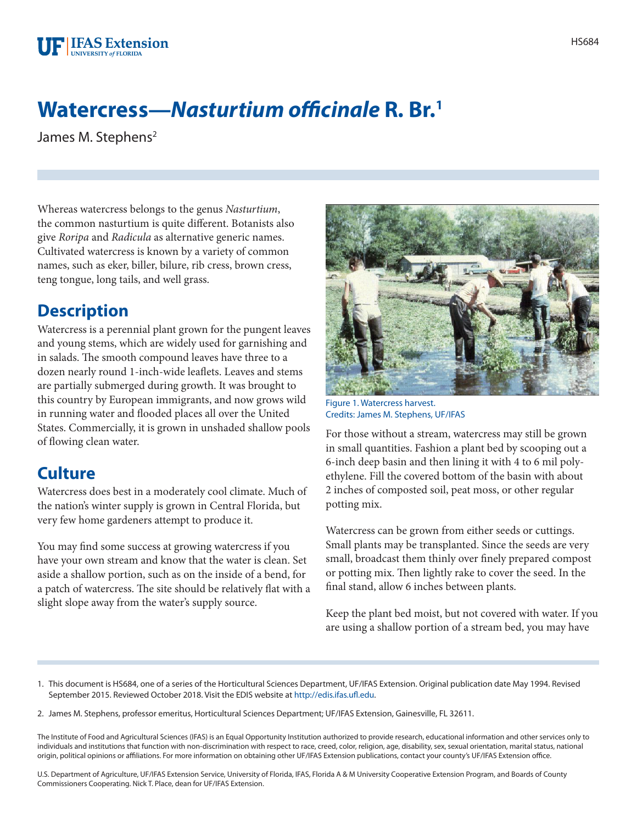

## **Watercress—***Nasturtium officinale* **R. Br.1**

James M. Stephens<sup>2</sup>

Whereas watercress belongs to the genus *Nasturtium*, the common nasturtium is quite different. Botanists also give *Roripa* and *Radicula* as alternative generic names. Cultivated watercress is known by a variety of common names, such as eker, biller, bilure, rib cress, brown cress, teng tongue, long tails, and well grass.

## **Description**

Watercress is a perennial plant grown for the pungent leaves and young stems, which are widely used for garnishing and in salads. The smooth compound leaves have three to a dozen nearly round 1-inch-wide leaflets. Leaves and stems are partially submerged during growth. It was brought to this country by European immigrants, and now grows wild in running water and flooded places all over the United States. Commercially, it is grown in unshaded shallow pools of flowing clean water.

## **Culture**

Watercress does best in a moderately cool climate. Much of the nation's winter supply is grown in Central Florida, but very few home gardeners attempt to produce it.

You may find some success at growing watercress if you have your own stream and know that the water is clean. Set aside a shallow portion, such as on the inside of a bend, for a patch of watercress. The site should be relatively flat with a slight slope away from the water's supply source.



Figure 1. Watercress harvest. Credits: James M. Stephens, UF/IFAS

For those without a stream, watercress may still be grown in small quantities. Fashion a plant bed by scooping out a 6-inch deep basin and then lining it with 4 to 6 mil polyethylene. Fill the covered bottom of the basin with about 2 inches of composted soil, peat moss, or other regular potting mix.

Watercress can be grown from either seeds or cuttings. Small plants may be transplanted. Since the seeds are very small, broadcast them thinly over finely prepared compost or potting mix. Then lightly rake to cover the seed. In the final stand, allow 6 inches between plants.

Keep the plant bed moist, but not covered with water. If you are using a shallow portion of a stream bed, you may have

- 1. This document is HS684, one of a series of the Horticultural Sciences Department, UF/IFAS Extension. Original publication date May 1994. Revised September 2015. Reviewed October 2018. Visit the EDIS website at [http://edis.ifas.ufl.edu.](http://edis.ifas.ufl.edu)
- 2. James M. Stephens, professor emeritus, Horticultural Sciences Department; UF/IFAS Extension, Gainesville, FL 32611.

The Institute of Food and Agricultural Sciences (IFAS) is an Equal Opportunity Institution authorized to provide research, educational information and other services only to individuals and institutions that function with non-discrimination with respect to race, creed, color, religion, age, disability, sex, sexual orientation, marital status, national origin, political opinions or affiliations. For more information on obtaining other UF/IFAS Extension publications, contact your county's UF/IFAS Extension office.

U.S. Department of Agriculture, UF/IFAS Extension Service, University of Florida, IFAS, Florida A & M University Cooperative Extension Program, and Boards of County Commissioners Cooperating. Nick T. Place, dean for UF/IFAS Extension.